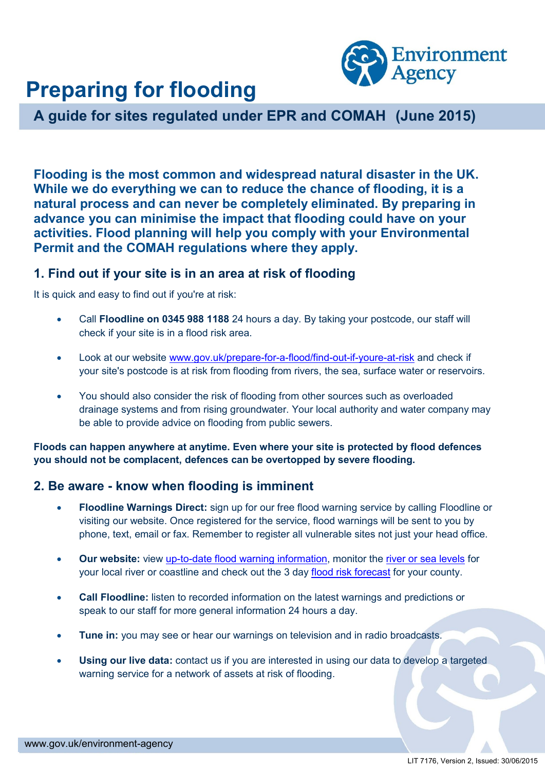

# **Preparing for flooding**

**A guide for sites regulated under EPR and COMAH (June 2015)**

**Flooding is the most common and widespread natural disaster in the UK. While we do everything we can to reduce the chance of flooding, it is a natural process and can never be completely eliminated. By preparing in advance you can minimise the impact that flooding could have on your activities. Flood planning will help you comply with your Environmental Permit and the COMAH regulations where they apply.** 

# **1. Find out if your site is in an area at risk of flooding**

It is quick and easy to find out if you're at risk:

- Call **Floodline on 0345 988 1188** 24 hours a day. By taking your postcode, our staff will check if your site is in a flood risk area.
- Look at our website [www.gov.uk/prepare-for-a-flood/find-out-if-youre-at-risk](http://www.gov.uk/prepare-for-a-flood/find-out-if-youre-at-risk) and check if your site's postcode is at risk from flooding from rivers, the sea, surface water or reservoirs.
- You should also consider the risk of flooding from other sources such as overloaded drainage systems and from rising groundwater. Your local authority and water company may be able to provide advice on flooding from public sewers.

**Floods can happen anywhere at anytime. Even where your site is protected by flood defences you should not be complacent, defences can be overtopped by severe flooding.** 

# **2. Be aware - know when flooding is imminent**

- **Floodline Warnings Direct:** sign up for our free flood warning service by calling Floodline or visiting our website. Once registered for the service, flood warnings will be sent to you by phone, text, email or fax. Remember to register all vulnerable sites not just your head office.
- **Our [website:](http://www.environment-agency.gov.uk/homeandleisure/floods/31618.aspx)** view [up-to-date flood warning information,](http://www.environment-agency.gov.uk/homeandleisure/floods/31618.aspx) monitor the [river or sea levels](http://www.environment-agency.gov.uk/homeandleisure/floods/riverlevels/default.aspx) for your local river or coastline and check out the 3 day [flood risk forecast](http://www.environment-agency.gov.uk/homeandleisure/floods/3days/125305.aspx) for your county.
- **Call Floodline:** listen to recorded information on the latest warnings and predictions or speak to our staff for more general information 24 hours a day.
- **Tune in:** you may see or hear our warnings on television and in radio broadcasts.
- [Using our live data:](http://environment-agency.resultspage.com/search?p=R&srid=S8-UKSR01&lbc=environment-agency&w=flood%20warning%20for%20infrastructure&url=http%3a%2f%2fwww.environment-agency.gov.uk%2fbusiness%2ftopics%2f116877.aspx&rk=1&uid=523555136&sid=15&ts=ev2&rsc=-qVhfjLiy73O0uYr&method=and&isort=score) contact us if you are interested in using our data to develop a targeted warning service for a network of assets at risk of flooding.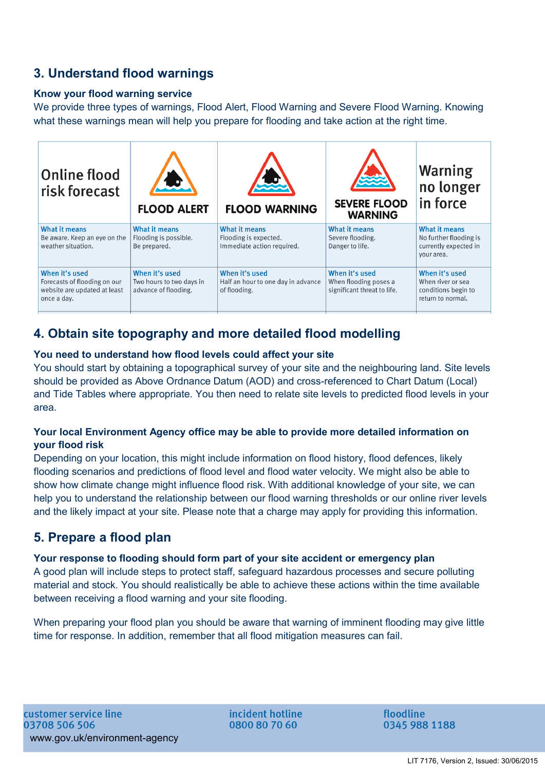# **3. Understand flood warnings**

## **Know your flood warning service**

We provide three types of warnings, Flood Alert, Flood Warning and Severe Flood Warning. Knowing what these warnings mean will help you prepare for flooding and take action at the right time.



# **4. Obtain site topography and more detailed flood modelling**

## **You need to understand how flood levels could affect your site**

You should start by obtaining a topographical survey of your site and the neighbouring land. Site levels should be provided as Above Ordnance Datum (AOD) and cross-referenced to Chart Datum (Local) and Tide Tables where appropriate. You then need to relate site levels to predicted flood levels in your area.

## **Your local Environment Agency office may be able to provide more detailed information on your flood risk**

Depending on your location, this might include information on flood history, flood defences, likely flooding scenarios and predictions of flood level and flood water velocity. We might also be able to show how climate change might influence flood risk. With additional knowledge of your site, we can help you to understand the relationship between our flood warning thresholds or our online river levels and the likely impact at your site. Please note that a charge may apply for providing this information.

# **5. Prepare a flood plan**

## **Your response to flooding should form part of your site accident or emergency plan**

A good plan will include steps to protect staff, safeguard hazardous processes and secure polluting material and stock. You should realistically be able to achieve these actions within the time available between receiving a flood warning and your site flooding.

When preparing your flood plan you should be aware that warning of imminent flooding may give little time for response. In addition, remember that all flood mitigation measures can fail.

incident hotline 0800 80 70 60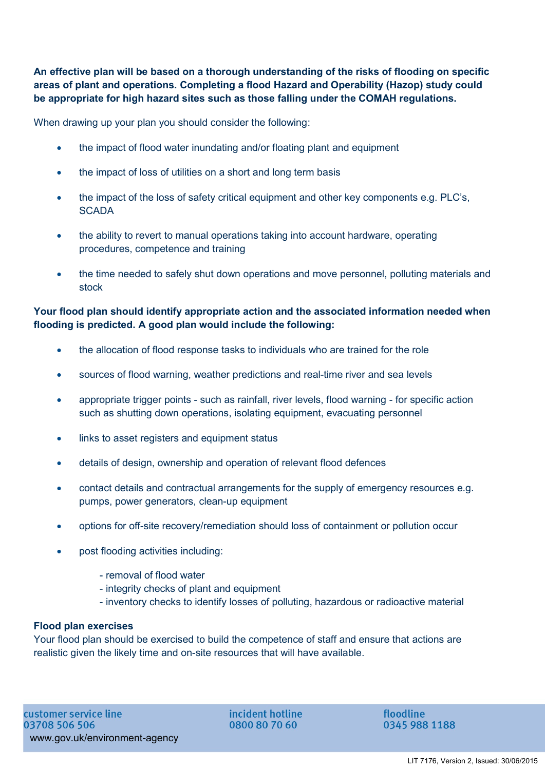**An effective plan will be based on a thorough understanding of the risks of flooding on specific areas of plant and operations. Completing a flood Hazard and Operability (Hazop) study could be appropriate for high hazard sites such as those falling under the COMAH regulations.** 

When drawing up your plan you should consider the following:

- the impact of flood water inundating and/or floating plant and equipment
- the impact of loss of utilities on a short and long term basis
- the impact of the loss of safety critical equipment and other key components e.g. PLC's, **SCADA**
- the ability to revert to manual operations taking into account hardware, operating procedures, competence and training
- the time needed to safely shut down operations and move personnel, polluting materials and stock

## **Your flood plan should identify appropriate action and the associated information needed when flooding is predicted. A good plan would include the following:**

- the allocation of flood response tasks to individuals who are trained for the role
- sources of flood warning, weather predictions and real-time river and sea levels
- appropriate trigger points such as rainfall, river levels, flood warning for specific action such as shutting down operations, isolating equipment, evacuating personnel
- links to asset registers and equipment status
- details of design, ownership and operation of relevant flood defences
- contact details and contractual arrangements for the supply of emergency resources e.g. pumps, power generators, clean-up equipment
- options for off-site recovery/remediation should loss of containment or pollution occur
- post flooding activities including:
	- removal of flood water
	- integrity checks of plant and equipment
	- inventory checks to identify losses of polluting, hazardous or radioactive material

#### **Flood plan exercises**

Your flood plan should be exercised to build the competence of staff and ensure that actions are realistic given the likely time and on-site resources that will have available.

incident hotline 0800 80 70 60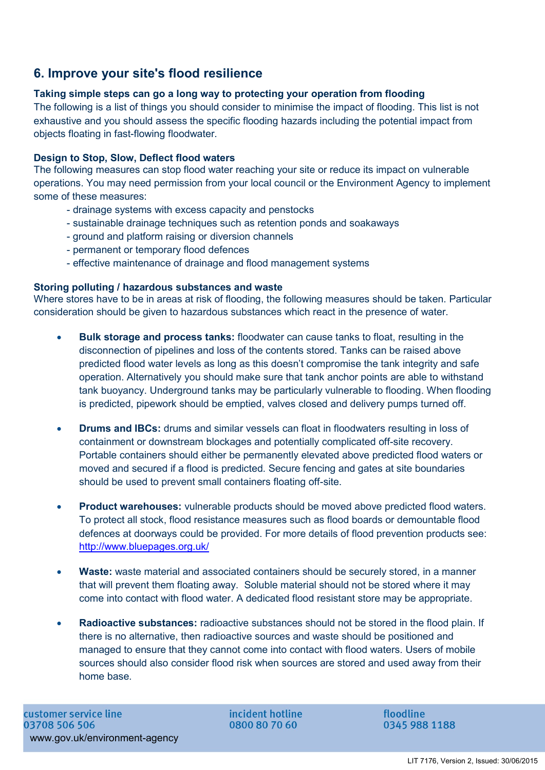# **6. Improve your site's flood resilience**

# **Taking simple steps can go a long way to protecting your operation from flooding**

The following is a list of things you should consider to minimise the impact of flooding. This list is not exhaustive and you should assess the specific flooding hazards including the potential impact from objects floating in fast-flowing floodwater.

## **Design to Stop, Slow, Deflect flood waters**

The following measures can stop flood water reaching your site or reduce its impact on vulnerable operations. You may need permission from your local council or the Environment Agency to implement some of these measures:

- drainage systems with excess capacity and penstocks
- sustainable drainage techniques such as retention ponds and soakaways
- ground and platform raising or diversion channels
- permanent or temporary flood defences
- effective maintenance of drainage and flood management systems

## **Storing polluting / hazardous substances and waste**

Where stores have to be in areas at risk of flooding, the following measures should be taken. Particular consideration should be given to hazardous substances which react in the presence of water.

- **Bulk storage and process tanks:** floodwater can cause tanks to float, resulting in the disconnection of pipelines and loss of the contents stored. Tanks can be raised above predicted flood water levels as long as this doesn't compromise the tank integrity and safe operation. Alternatively you should make sure that tank anchor points are able to withstand tank buoyancy. Underground tanks may be particularly vulnerable to flooding. When flooding is predicted, pipework should be emptied, valves closed and delivery pumps turned off.
- **Drums and IBCs:** drums and similar vessels can float in floodwaters resulting in loss of containment or downstream blockages and potentially complicated off-site recovery. Portable containers should either be permanently elevated above predicted flood waters or moved and secured if a flood is predicted. Secure fencing and gates at site boundaries should be used to prevent small containers floating off-site.
- **Product warehouses:** vulnerable products should be moved above predicted flood waters. To protect all stock, flood resistance measures such as flood boards or demountable flood defences at doorways could be provided. For more details of flood prevention products see: <http://www.bluepages.org.uk/>
- **Waste:** waste material and associated containers should be securely stored, in a manner that will prevent them floating away. Soluble material should not be stored where it may come into contact with flood water. A dedicated flood resistant store may be appropriate.
- **Radioactive substances:** radioactive substances should not be stored in the flood plain. If there is no alternative, then radioactive sources and waste should be positioned and managed to ensure that they cannot come into contact with flood waters. Users of mobile sources should also consider flood risk when sources are stored and used away from their home base.

incident hotline 0800 80 70 60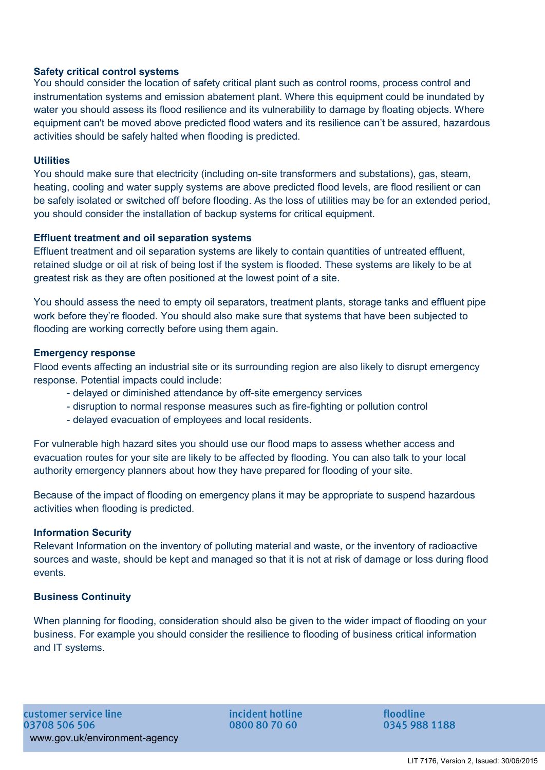## **Safety critical control systems**

You should consider the location of safety critical plant such as control rooms, process control and instrumentation systems and emission abatement plant. Where this equipment could be inundated by water you should assess its flood resilience and its vulnerability to damage by floating objects. Where equipment can't be moved above predicted flood waters and its resilience can't be assured, hazardous activities should be safely halted when flooding is predicted.

#### **Utilities**

You should make sure that electricity (including on-site transformers and substations), gas, steam, heating, cooling and water supply systems are above predicted flood levels, are flood resilient or can be safely isolated or switched off before flooding. As the loss of utilities may be for an extended period, you should consider the installation of backup systems for critical equipment.

#### **Effluent treatment and oil separation systems**

Effluent treatment and oil separation systems are likely to contain quantities of untreated effluent, retained sludge or oil at risk of being lost if the system is flooded. These systems are likely to be at greatest risk as they are often positioned at the lowest point of a site.

You should assess the need to empty oil separators, treatment plants, storage tanks and effluent pipe work before they're flooded. You should also make sure that systems that have been subjected to flooding are working correctly before using them again.

#### **Emergency response**

Flood events affecting an industrial site or its surrounding region are also likely to disrupt emergency response. Potential impacts could include:

- delayed or diminished attendance by off-site emergency services
- disruption to normal response measures such as fire-fighting or pollution control
- delayed evacuation of employees and local residents.

For vulnerable high hazard sites you should use our flood maps to assess whether access and evacuation routes for your site are likely to be affected by flooding. You can also talk to your local authority emergency planners about how they have prepared for flooding of your site.

Because of the impact of flooding on emergency plans it may be appropriate to suspend hazardous activities when flooding is predicted.

#### **Information Security**

Relevant Information on the inventory of polluting material and waste, or the inventory of radioactive sources and waste, should be kept and managed so that it is not at risk of damage or loss during flood events.

#### **Business Continuity**

When planning for flooding, consideration should also be given to the wider impact of flooding on your business. For example you should consider the resilience to flooding of business critical information and IT systems.

incident hotline 0800 80 70 60